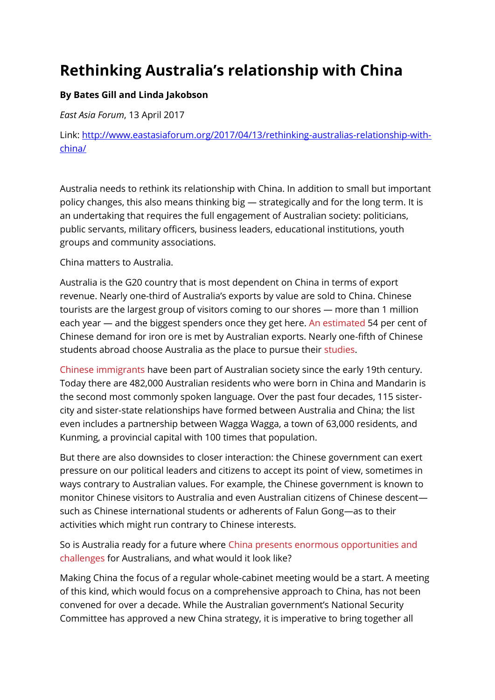## **Rethinking Australia's relationship with China**

## **By Bates Gill and Linda Jakobson**

*East Asia Forum*, 13 April 2017

Link: [http://www.eastasiaforum.org/2017/04/13/rethinking-australias-relationship-with](http://www.eastasiaforum.org/2017/04/13/rethinking-australias-relationship-with-china/)[china/](http://www.eastasiaforum.org/2017/04/13/rethinking-australias-relationship-with-china/)

Australia needs to rethink its relationship with China. In addition to small but important policy changes, this also means thinking big — strategically and for the long term. It is an undertaking that requires the full engagement of Australian society: politicians, public servants, military officers, business leaders, educational institutions, youth groups and community associations.

China matters to Australia.

Australia is the G20 country that is most dependent on China in terms of export revenue. Nearly one-third of Australia's exports by value are sold to China. Chinese tourists are the largest group of visitors coming to our shores — more than 1 million each year — and the biggest spenders once they get here. [An estimated](https://industry.gov.au/Office-of-the-Chief-Economist/Publications/Documents/req/REQ-December-2015.pdf) 54 per cent of Chinese demand for iron ore is met by Australian exports. Nearly one-fifth of Chinese students abroad choose Australia as the place to pursue their [studies.](http://www.eastasiaforum.org/2016/12/24/pedagogy-or-profiteering-chinese-students-in-australias-higher-education-sector/)

[Chinese immigrants](http://www.eastasiaforum.org/2017/01/31/australia-must-capitalise-on-chinese-diaspora/) have been part of Australian society since the early 19th century. Today there are 482,000 Australian residents who were born in China and Mandarin is the second most commonly spoken language. Over the past four decades, 115 sistercity and sister-state relationships have formed between Australia and China; the list even includes a partnership between Wagga Wagga, a town of 63,000 residents, and Kunming, a provincial capital with 100 times that population.

But there are also downsides to closer interaction: the Chinese government can exert pressure on our political leaders and citizens to accept its point of view, sometimes in ways contrary to Australian values. For example, the Chinese government is known to monitor Chinese visitors to Australia and even Australian citizens of Chinese descent such as Chinese international students or adherents of Falun Gong—as to their activities which might run contrary to Chinese interests.

So is Australia ready for a future where [China presents enormous opportunities and](http://www.eastasiaforum.org/2016/08/14/australia-and-china-committing-to-a-partnership-for-change/)  [challenges](http://www.eastasiaforum.org/2016/08/14/australia-and-china-committing-to-a-partnership-for-change/) for Australians, and what would it look like?

Making China the focus of a regular whole-cabinet meeting would be a start. A meeting of this kind, which would focus on a comprehensive approach to China, has not been convened for over a decade. While the Australian government's National Security Committee has approved a new China strategy, it is imperative to bring together all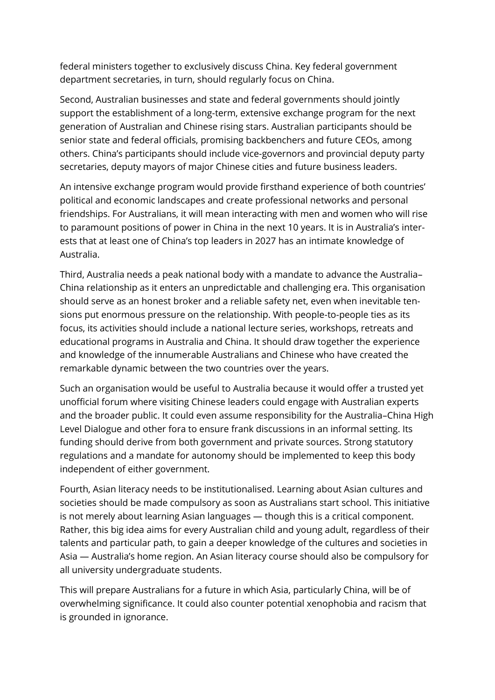federal ministers together to exclusively discuss China. Key federal government department secretaries, in turn, should regularly focus on China.

Second, Australian businesses and state and federal governments should jointly support the establishment of a long-term, extensive exchange program for the next generation of Australian and Chinese rising stars. Australian participants should be senior state and federal officials, promising backbenchers and future CEOs, among others. China's participants should include vice-governors and provincial deputy party secretaries, deputy mayors of major Chinese cities and future business leaders.

An intensive exchange program would provide firsthand experience of both countries' political and economic landscapes and create professional networks and personal friendships. For Australians, it will mean interacting with men and women who will rise to paramount positions of power in China in the next 10 years. It is in Australia's interests that at least one of China's top leaders in 2027 has an intimate knowledge of Australia.

Third, Australia needs a peak national body with a mandate to advance the Australia– China relationship as it enters an unpredictable and challenging era. This organisation should serve as an honest broker and a reliable safety net, even when inevitable tensions put enormous pressure on the relationship. With people-to-people ties as its focus, its activities should include a national lecture series, workshops, retreats and educational programs in Australia and China. It should draw together the experience and knowledge of the innumerable Australians and Chinese who have created the remarkable dynamic between the two countries over the years.

Such an organisation would be useful to Australia because it would offer a trusted yet unofficial forum where visiting Chinese leaders could engage with Australian experts and the broader public. It could even assume responsibility for the Australia–China High Level Dialogue and other fora to ensure frank discussions in an informal setting. Its funding should derive from both government and private sources. Strong statutory regulations and a mandate for autonomy should be implemented to keep this body independent of either government.

Fourth, Asian literacy needs to be institutionalised. Learning about Asian cultures and societies should be made compulsory as soon as Australians start school. This initiative is not merely about learning Asian languages — though this is a critical component. Rather, this big idea aims for every Australian child and young adult, regardless of their talents and particular path, to gain a deeper knowledge of the cultures and societies in Asia — Australia's home region. An Asian literacy course should also be compulsory for all university undergraduate students.

This will prepare Australians for a future in which Asia, particularly China, will be of overwhelming significance. It could also counter potential xenophobia and racism that is grounded in ignorance.